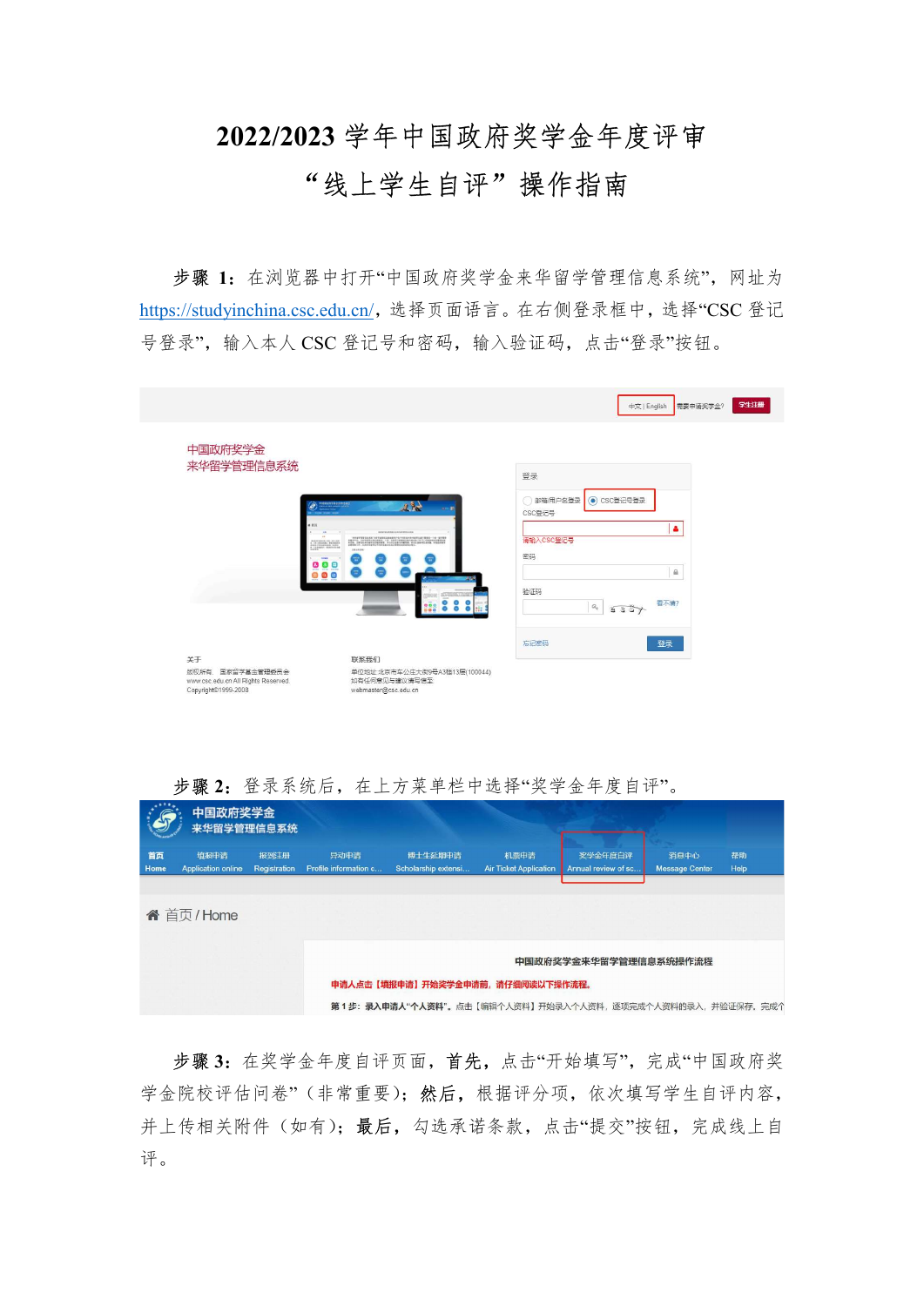## 2022/2023 学年中国政府奖学金年度评审

## "线上学生自评"操作指南

步骤 1: 在浏览器中打开"中国政府奖学金来华留学管理信息系统", 网址为 https://studyinchina.csc.edu.cn/,选择页面语言。在右侧登录框中,选择"CSC 登记 号登录",输入本人 CSC 登记号和密码,输入验证码,点击"登录"按钮。

|                                                                                 |                                                                        | 学生注册<br>中文   English<br>需要申请奖学金?                         |
|---------------------------------------------------------------------------------|------------------------------------------------------------------------|----------------------------------------------------------|
| 中国政府奖学金<br>来华留学管理信息系统<br>$-112$                                                 | <sup>2</sup> MARTINSSERVELLE<br>風景<br>*********************            | 登录<br>邮箱/用户名登录<br>● CSC登记号登录<br>CSC登记号<br>۵<br>请输入CSC登记号 |
|                                                                                 | 191936<br><b>SYSS</b><br>00<br>$\overline{\mathbf{e}}$<br>800<br>888   | 密码<br>$\hat{m}$<br>验证码<br>看不清?<br>$\mathcal{Q}_q$<br>557 |
| 关于                                                                              | 联系我们                                                                   | 忘记密码<br>登录                                               |
| 版权所有. 国家留学基金管理委员会<br>www.csc.edu.cn All Rights Reserved.<br>Copyright@1999-2008 | 单位地址:北京市车公庄大街9号A3楼13层(100044)<br>如有任何意见与建议请写信至<br>webmaster@csc.edu.cn |                                                          |



步骤 2: 登录系统后, 在上方菜单栏中选择"奖学金年度自评"。

步骤 3:在奖学金年度自评页面,首先,点击"开始填写",完成"中国政府奖 学金院校评估问卷"(非常重要);然后,根据评分项,依次填写学生自评内容, 并上传相关附件(如有);最后,勾选承诺条款,点击"提交"按钮,完成线上自 评。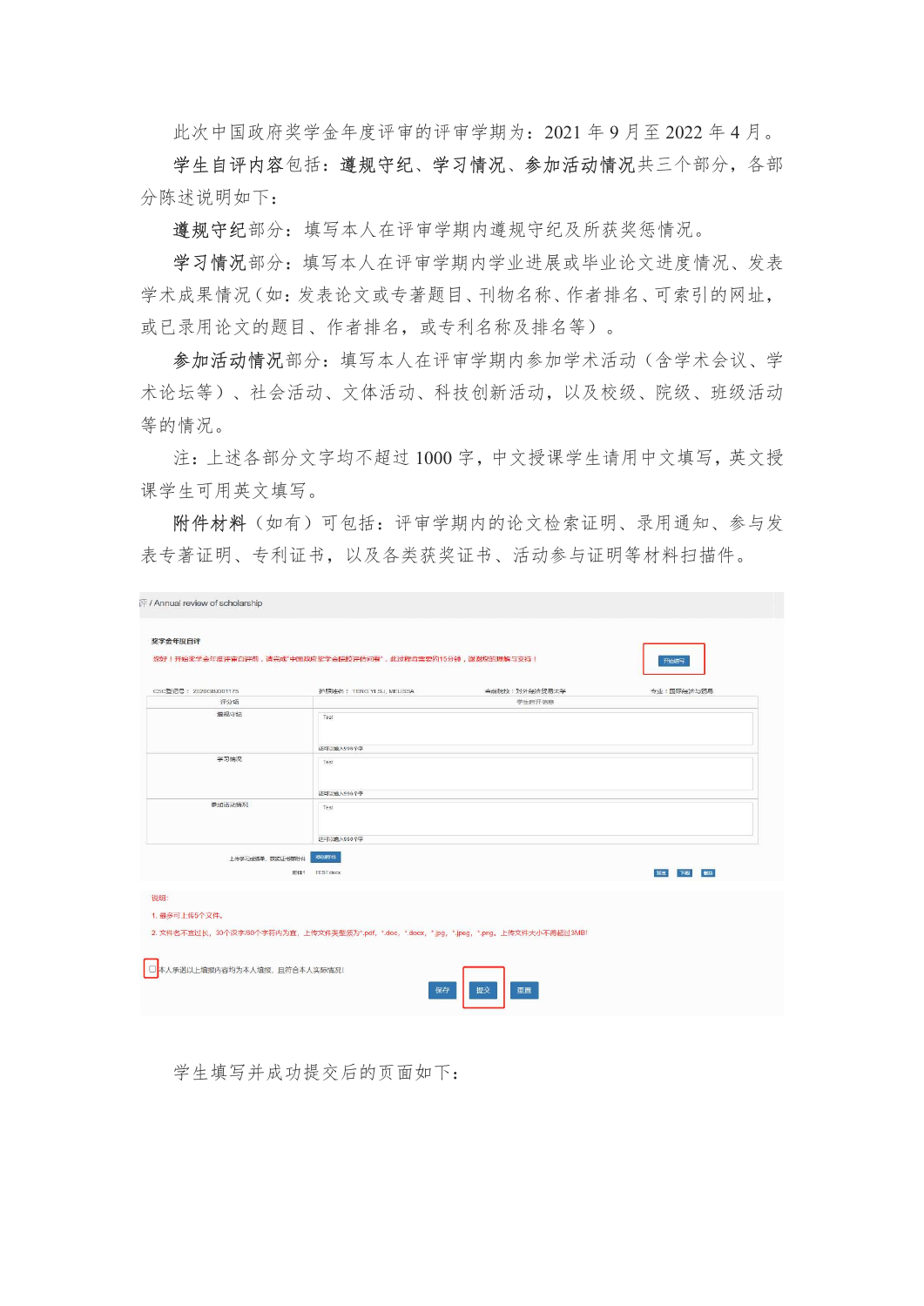此次中国政府奖学金年度评审的评审学期为:2021 年 9 月至 2022 年 4 月。

学生自评内容包括: 遵规守纪、学习情况、参加活动情况共三个部分, 各部 分陈述说明如下:

遵规守纪部分:填写本人在评审学期内遵规守纪及所获奖惩情况。

学习情况部分:填写本人在评审学期内学业进展或毕业论文进度情况、发表 学术成果情况(如:发表论文或专著题目、刊物名称、作者排名、可索引的网址, 或已录用论文的题目、作者排名,或专利名称及排名等)。

参加活动情况部分:填写本人在评审学期内参加学术活动(含学术会议、学 术论坛等)、社会活动、文体活动、科技创新活动,以及校级、院级、班级活动 等的情况。

注:上述各部分文字均不超过 1000 字,中文授课学生请用中文填写,英文授 课学生可用英文填写。

附件材料(如有)可包括:评审学期内的论文检索证明、录用通知、参与发 表专著证明、专利证书,以及各类获奖证书、活动参与证明等材料扫描件。

| 奖学金年度自评               | 您好!开始奖学金年度评审自评前,请完成"中国政府奖学金院校评估问卷",此过程将需要约15分钟,谢谢您的理解与支持!                              |               |            |
|-----------------------|----------------------------------------------------------------------------------------|---------------|------------|
|                       |                                                                                        |               | 开始结写       |
| CSC登记号: 2020GBJ001175 | 护照姓名: TENG YI SU, MELISSA                                                              | 当前院校:对外经济贸易大学 | 专业:国际经济与贸易 |
| 评分项                   |                                                                                        | 学生自评信息        |            |
| 道规守纪                  | Test                                                                                   |               |            |
|                       | 还可以输入996个字                                                                             |               |            |
| 学习情况                  | Test                                                                                   |               |            |
|                       | 还可以输入996个字                                                                             |               |            |
| 参加活动情况                | Test                                                                                   |               |            |
| 上传学习成绩单、获奖证书等附件       | 还可以能入996个字<br>添加翻件                                                                     |               |            |
|                       | 附件1 TEST.docx                                                                          |               | 下载 翻<br>预览 |
|                       |                                                                                        |               |            |
| 1. 最多可上传5个文件。         |                                                                                        |               |            |
|                       | 2. 文件各不直过长,30个汉字/60个字符内为直,上传文件类型须为*.pdf,*.doc,*.docx,*.jpg,*.jpeg,*.png。上传文件大小不得超过3MB! |               |            |
|                       |                                                                                        |               |            |

学生填写并成功提交后的页面如下: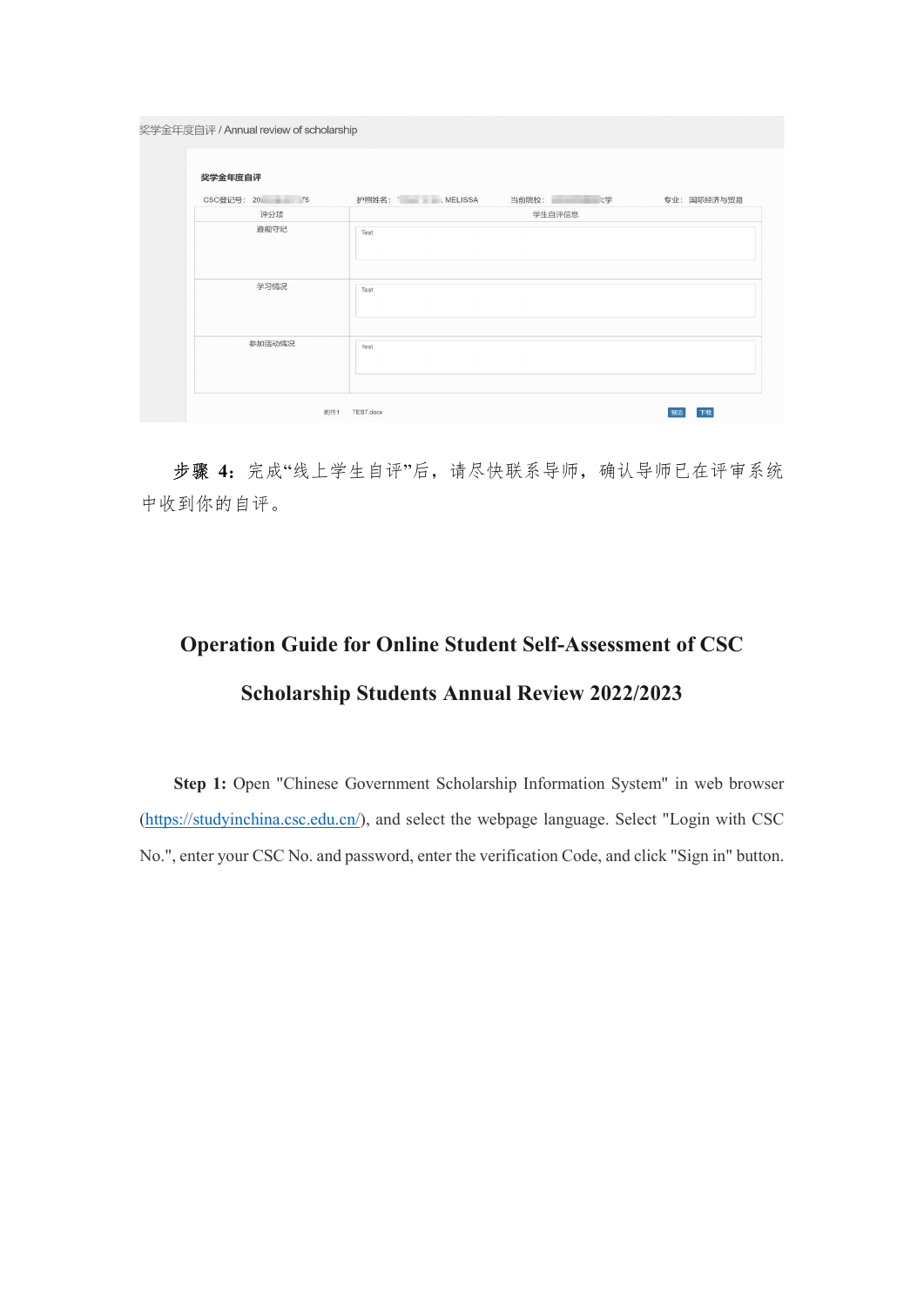| 奖学金年度自评        |               |             |
|----------------|---------------|-------------|
| CSC登记号: 20. 75 | 护照姓名: MELISSA | 专业: 国际经济与贸易 |
| 评分项            | 学生自评信息        |             |
| 遵规守纪           | Test          |             |
| 学习情况           | Test          |             |
| 参加活动情况         | Test          |             |

步骤 4: 完成"线上学生自评"后,请尽快联系导师,确认导师已在评审系统 中收到你的自评。

## Operation Guide for Online Student Self-Assessment of CSC Scholarship Students Annual Review 2022/2023

Step 1: Open "Chinese Government Scholarship Information System" in web browser (https://studyinchina.csc.edu.cn/), and select the webpage language. Select "Login with CSC No.", enter your CSC No. and password, enter the verification Code, and click "Sign in" button.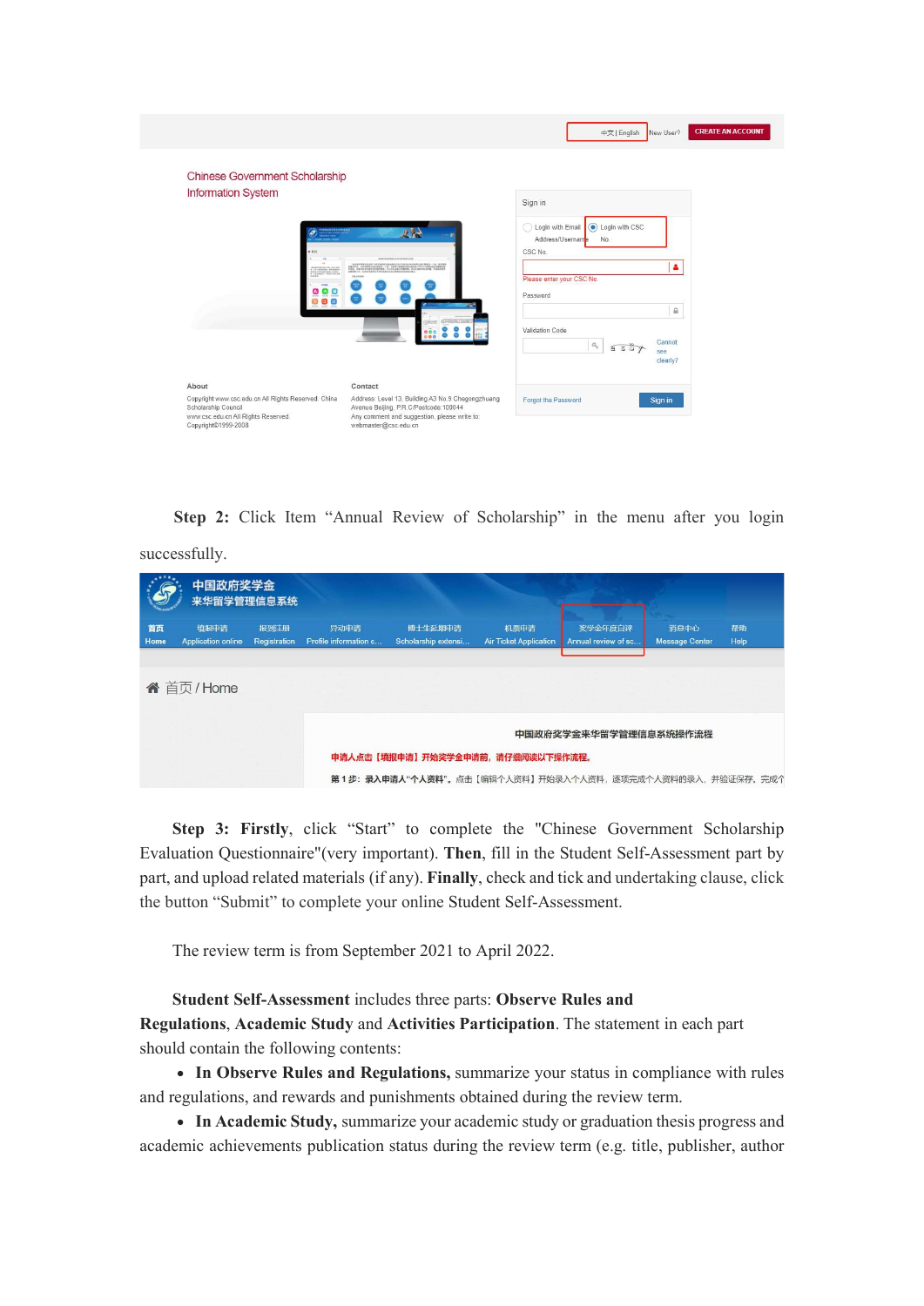|                                                                                                                                          |                                                                                                                                                                    | 中文   English<br>New User?                                       | <b>CREATE AN ACCOUNT</b> |
|------------------------------------------------------------------------------------------------------------------------------------------|--------------------------------------------------------------------------------------------------------------------------------------------------------------------|-----------------------------------------------------------------|--------------------------|
| <b>Chinese Government Scholarship</b><br><b>Information System</b>                                                                       |                                                                                                                                                                    |                                                                 |                          |
|                                                                                                                                          |                                                                                                                                                                    | Sign in                                                         |                          |
| <b>TODERITS 2019 END</b>                                                                                                                 | $23 -$                                                                                                                                                             | O Login with CSC<br>Login with Email<br>Address/Username<br>No. |                          |
|                                                                                                                                          | *******************                                                                                                                                                | CSC No.                                                         |                          |
| 12/phones research<br>Sarinarnigh boks<br>Chinabhi dentstrid                                                                             | 191926                                                                                                                                                             | ۵<br>Please enter your CSC No.                                  |                          |
| $\bullet$<br>$\bullet$<br>Θ                                                                                                              |                                                                                                                                                                    | Password                                                        |                          |
| 800                                                                                                                                      |                                                                                                                                                                    | ⋒                                                               |                          |
|                                                                                                                                          |                                                                                                                                                                    | Validation Code                                                 |                          |
|                                                                                                                                          |                                                                                                                                                                    | Cannot<br>$\mathcal{Q}_q$<br>8357<br>see<br>clearly?            |                          |
| About                                                                                                                                    | Contact                                                                                                                                                            |                                                                 |                          |
| Copyright www.csc.edu.cn All Rights Reserved. China<br>Scholarship Council<br>www.csc.edu.cn All Rights Reserved.<br>Copyright©1999-2008 | Address: Level 13, Building A3 No.9 Chegongzhuang<br>Avenue Beijing, P.R.C/Postcode:100044<br>Any comment and suggestion, please write to:<br>webmaster@csc.edu.cn | Forgot the Password<br>Sign in                                  |                          |

Step 2: Click Item "Annual Review of Scholarship" in the menu after you login

successfully.

|            | 中国政府奖学金<br>来华留学管理信息系统             |                      |                               |                                                                  |                                       |                                |                               |            |
|------------|-----------------------------------|----------------------|-------------------------------|------------------------------------------------------------------|---------------------------------------|--------------------------------|-------------------------------|------------|
| 首页<br>Home | 填报申请<br><b>Application online</b> | 报到注册<br>Registration | 异动申请<br>Profile information c | 博士生延期申请<br>Scholarship extensi                                   | 机票申请<br><b>Air Ticket Application</b> | 奖学金年度自评<br>Annual review of sc | 消息中心<br><b>Message Center</b> | 帮助<br>Help |
|            |                                   |                      |                               |                                                                  |                                       |                                |                               |            |
|            | <b>谷</b> 首页/Home                  |                      |                               |                                                                  |                                       |                                |                               |            |
|            |                                   |                      |                               |                                                                  |                                       | 中国政府奖学金来华留学管理信息系统操作流程          |                               |            |
|            |                                   |                      |                               | 申请人点击【填报申请】开始奖学金申请前,请仔细阅读以下操作流程。                                 |                                       |                                |                               |            |
|            |                                   |                      |                               | 第 1 步: <b>录入申请人"个人资料</b> "。点击【编辑个人资料】开始录入个人资料,逐项完成个人资料的录入,并验证保存。 |                                       |                                |                               | 完成个        |

Step 3: Firstly, click "Start" to complete the "Chinese Government Scholarship Evaluation Questionnaire"(very important). Then, fill in the Student Self-Assessment part by part, and upload related materials (if any). Finally, check and tick and undertaking clause, click the button "Submit" to complete your online Student Self-Assessment.

The review term is from September 2021 to April 2022.

Student Self-Assessment includes three parts: Observe Rules and

Regulations, Academic Study and Activities Participation. The statement in each part should contain the following contents:

• In Observe Rules and Regulations, summarize your status in compliance with rules and regulations, and rewards and punishments obtained during the review term.

 In Academic Study, summarize your academic study or graduation thesis progress and academic achievements publication status during the review term (e.g. title, publisher, author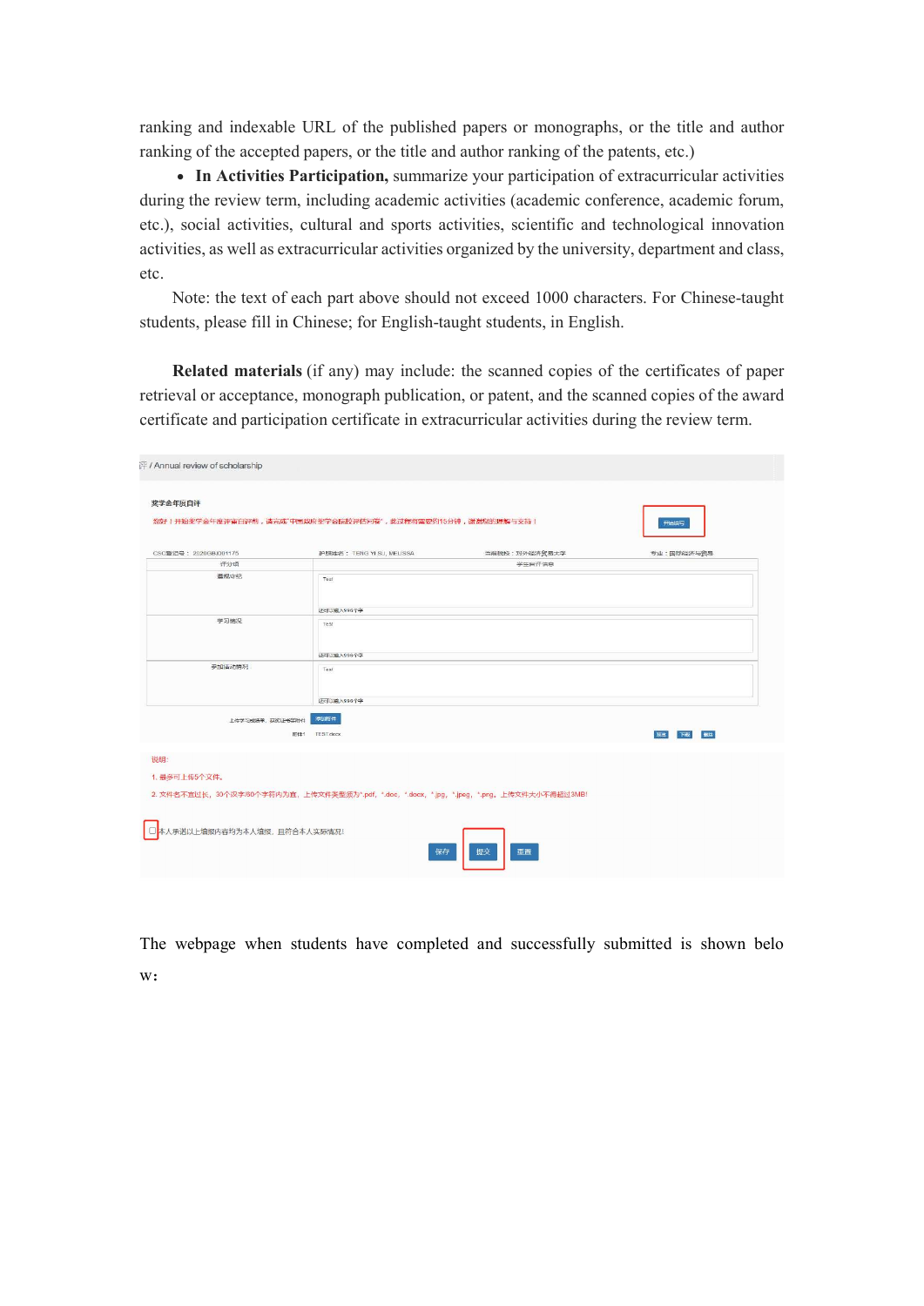ranking and indexable URL of the published papers or monographs, or the title and author ranking of the accepted papers, or the title and author ranking of the patents, etc.)

 In Activities Participation, summarize your participation of extracurricular activities during the review term, including academic activities (academic conference, academic forum, etc.), social activities, cultural and sports activities, scientific and technological innovation activities, as well as extracurricular activities organized by the university, department and class, etc.

Note: the text of each part above should not exceed 1000 characters. For Chinese-taught students, please fill in Chinese; for English-taught students, in English.

Related materials (if any) may include: the scanned copies of the certificates of paper retrieval or acceptance, monograph publication, or patent, and the scanned copies of the award certificate and participation certificate in extracurricular activities during the review term.

| 奖学金年度自评                        | 您好!开始奖学金年度评审自评前,请完成"中国政府奖学金院校评估问卷",此过程将需要约15分钟,谢谢您的理解与支持!                              | 开始结写       |
|--------------------------------|----------------------------------------------------------------------------------------|------------|
| CSC登记号: 2020GBJ001175          | 当前院校:对外经济贸易大学<br>护照姓名: TENG YI SU, MELISSA                                             | 专业:国际经济与贸易 |
| 评分项                            |                                                                                        | 学生自评信息     |
| 算规守纪                           | Test<br>还可以输入996个字                                                                     |            |
| 学习情况                           | Test<br>还可以输入996个字                                                                     |            |
| 参加活动情况                         | Test<br>还可以输入996个字                                                                     |            |
| 上传学习成绩单、获奖证书等附件                | 添加粗件<br>附件1 TEST.docx                                                                  | 下载<br>预览   |
| 说明:<br>1. 最多可上传5个文件。           | 2. 文件各不直过长,30个汉字/60个字符内为直,上传文件类型须为*.pdf,*.doc,*.docx,*.jpg,*.jpeg,*.png,上传文件大小不得超过3MB! |            |
| □ 本人承诺以上填报内容均为本人填报, 且符合本人实际情况! | 提交<br>保存<br>亜置                                                                         |            |

The webpage when students have completed and successfully submitted is shown belo w: